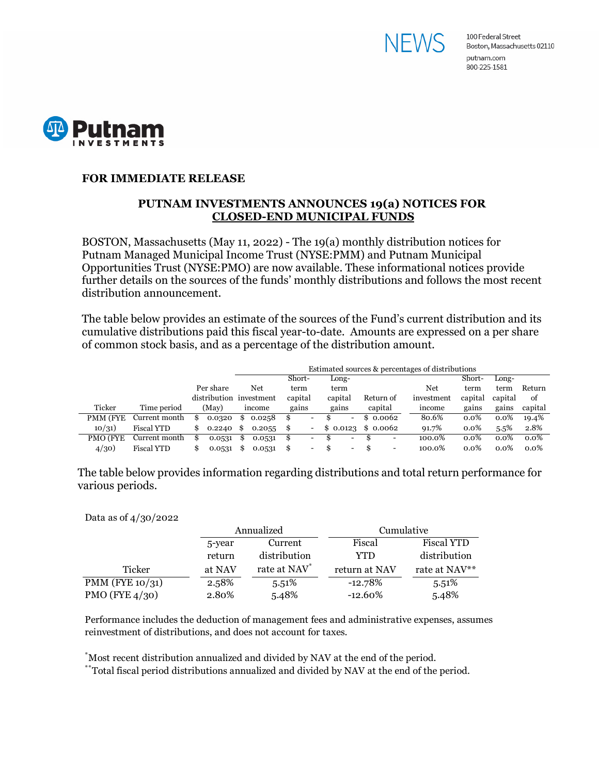



## **FOR IMMEDIATE RELEASE**

## **PUTNAM INVESTMENTS ANNOUNCES 19(a) NOTICES FOR CLOSED-END MUNICIPAL FUNDS**

BOSTON, Massachusetts (May 11, 2022) - The 19(a) monthly distribution notices for Putnam Managed Municipal Income Trust (NYSE:PMM) and Putnam Municipal Opportunities Trust (NYSE:PMO) are now available. These informational notices provide further details on the sources of the funds' monthly distributions and follows the most recent distribution announcement.

The table below provides an estimate of the sources of the Fund's current distribution and its cumulative distributions paid this fiscal year-to-date. Amounts are expressed on a per share of common stock basis, and as a percentage of the distribution amount.

|          |                   |                         | Estimated sources & percentages of distributions |        |         |                          |         |                          |                      |                          |            |         |         |         |
|----------|-------------------|-------------------------|--------------------------------------------------|--------|---------|--------------------------|---------|--------------------------|----------------------|--------------------------|------------|---------|---------|---------|
|          |                   |                         |                                                  |        | Short-  |                          | Long-   |                          |                      |                          |            | Short-  | Long-   |         |
|          |                   | Per share               |                                                  | Net    | term    |                          | term    |                          |                      |                          | Net        | term    | term    | Return  |
|          |                   | distribution investment |                                                  |        | capital |                          | capital |                          | Return of            |                          | investment | capital | capital | of      |
| Ticker   | Time period       | (May)                   |                                                  | ıncome | gains   |                          | gains   |                          | capital              |                          | income     | gains   | gains   | capital |
| PMM (FYE | Current month     | 0.0320                  | S                                                | 0.0258 | S       | $\overline{\phantom{0}}$ |         | -                        | 0.0062               |                          | 80.6%      | $0.0\%$ | 0.0%    | 19.4%   |
| 10/31)   | <b>Fiscal YTD</b> | 0.2240                  | - \$                                             | 0.2055 | S.      |                          |         |                          | $$0.0123$$ $$0.0062$ |                          | 91.7%      | $0.0\%$ | 5.5%    | 2.8%    |
| PMO (FYE | Current month     | 0.0531                  |                                                  | 0.0531 | S       | $\overline{\phantom{0}}$ |         | Ξ.                       |                      | -                        | 100.0%     | $0.0\%$ | $0.0\%$ | $0.0\%$ |
| 4/30)    | <b>Fiscal YTD</b> | 0.0531                  | \$                                               | 0.0531 | \$      | -                        | S       | $\overline{\phantom{0}}$ |                      | $\overline{\phantom{0}}$ | 100.0%     | $0.0\%$ | $0.0\%$ | $0.0\%$ |

The table below provides information regarding distributions and total return performance for various periods.

Data as of 4/30/2022

|                    |        | Annualized               | Cumulative    |                   |  |
|--------------------|--------|--------------------------|---------------|-------------------|--|
|                    | 5-year | Current                  | Fiscal        | <b>Fiscal YTD</b> |  |
|                    | return | distribution             | YTD           | distribution      |  |
| Ticker             | at NAV | rate at NAV <sup>*</sup> | return at NAV | rate at NAV**     |  |
| PMM (FYE $10/31$ ) | 2.58%  | 5.51%                    | $-12.78\%$    | 5.51%             |  |
| PMO (FYE $4/30$ )  | 2.80%  | 5.48%                    | $-12.60\%$    | 5.48%             |  |

Performance includes the deduction of management fees and administrative expenses, assumes reinvestment of distributions, and does not account for taxes.

\* Most recent distribution annualized and divided by NAV at the end of the period.

\*\*Total fiscal period distributions annualized and divided by NAV at the end of the period.